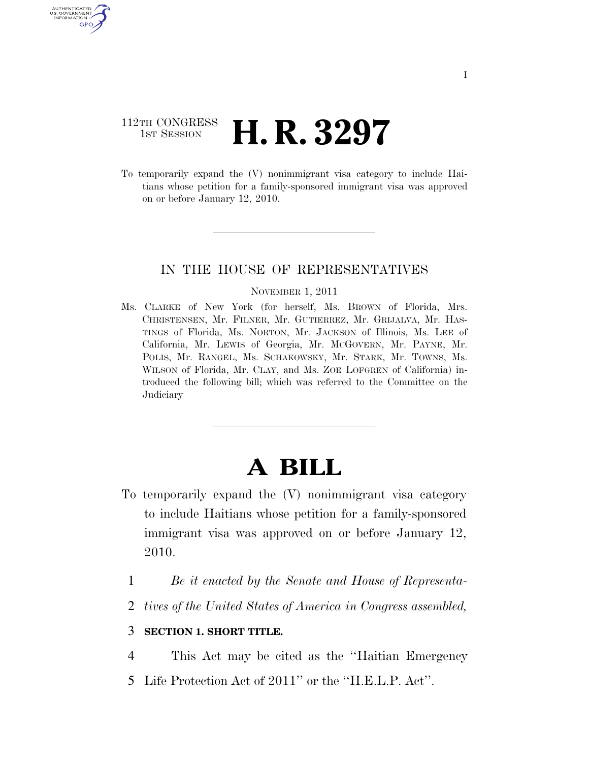## 112TH CONGRESS **1st Session H. R. 3297**

AUTHENTICATED U.S. GOVERNMENT GPO

> To temporarily expand the (V) nonimmigrant visa category to include Haitians whose petition for a family-sponsored immigrant visa was approved on or before January 12, 2010.

### IN THE HOUSE OF REPRESENTATIVES

#### NOVEMBER 1, 2011

Ms. CLARKE of New York (for herself, Ms. BROWN of Florida, Mrs. CHRISTENSEN, Mr. FILNER, Mr. GUTIERREZ, Mr. GRIJALVA, Mr. HAS-TINGS of Florida, Ms. NORTON, Mr. JACKSON of Illinois, Ms. LEE of California, Mr. LEWIS of Georgia, Mr. MCGOVERN, Mr. PAYNE, Mr. POLIS, Mr. RANGEL, Ms. SCHAKOWSKY, Mr. STARK, Mr. TOWNS, Ms. WILSON of Florida, Mr. CLAY, and Ms. ZOE LOFGREN of California) introduced the following bill; which was referred to the Committee on the **Judiciary** 

# **A BILL**

- To temporarily expand the (V) nonimmigrant visa category to include Haitians whose petition for a family-sponsored immigrant visa was approved on or before January 12, 2010.
	- 1 *Be it enacted by the Senate and House of Representa-*
	- 2 *tives of the United States of America in Congress assembled,*

### 3 **SECTION 1. SHORT TITLE.**

- 4 This Act may be cited as the ''Haitian Emergency
- 5 Life Protection Act of 2011'' or the ''H.E.L.P. Act''.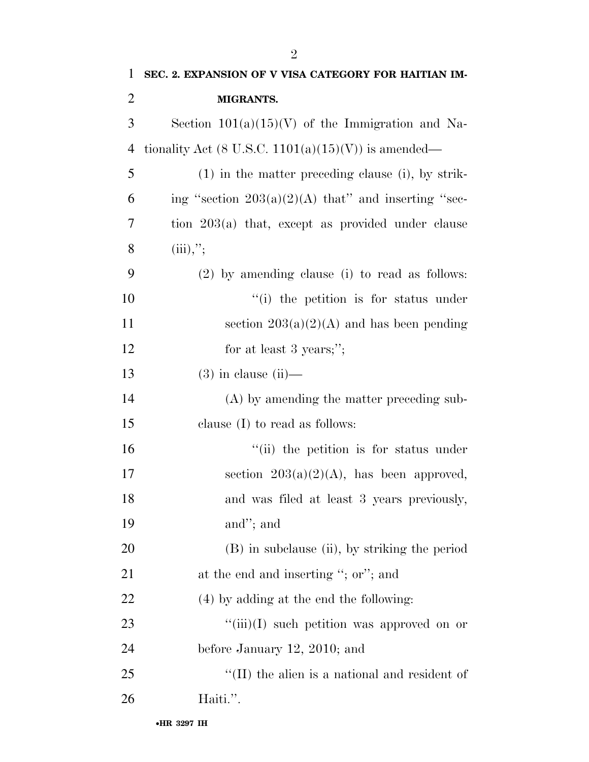| 1              | SEC. 2. EXPANSION OF V VISA CATEGORY FOR HAITIAN IM-   |
|----------------|--------------------------------------------------------|
| $\overline{2}$ | MIGRANTS.                                              |
| 3              | Section $101(a)(15)(V)$ of the Immigration and Na-     |
| $\overline{4}$ | tionality Act (8 U.S.C. $1101(a)(15)(V)$ ) is amended— |
| 5              | $(1)$ in the matter preceding clause (i), by strik-    |
| 6              | ing "section $203(a)(2)(A)$ that" and inserting "sec-  |
| 7              | tion $203(a)$ that, except as provided under clause    |
| 8              | (iii),''                                               |
| 9              | $(2)$ by amending clause (i) to read as follows:       |
| 10             | "(i) the petition is for status under                  |
| 11             | section $203(a)(2)(A)$ and has been pending            |
| 12             | for at least 3 years;";                                |
| 13             | $(3)$ in clause $(ii)$ —                               |
| 14             | (A) by amending the matter preceding sub-              |
| 15             | clause $(I)$ to read as follows:                       |
| 16             | "(ii) the petition is for status under                 |
| 17             | section $203(a)(2)(A)$ , has been approved,            |
| 18             | and was filed at least 3 years previously,             |
| 19             | and"; and                                              |
| 20             | (B) in subclause (ii), by striking the period          |
| 21             | at the end and inserting "; or"; and                   |
| 22             | (4) by adding at the end the following:                |
| 23             | " $(iii)(I)$ such petition was approved on or          |
| 24             | before January $12, 2010$ ; and                        |
| 25             | $\lq\lq$ (II) the alien is a national and resident of  |
| 26             | Haiti.".                                               |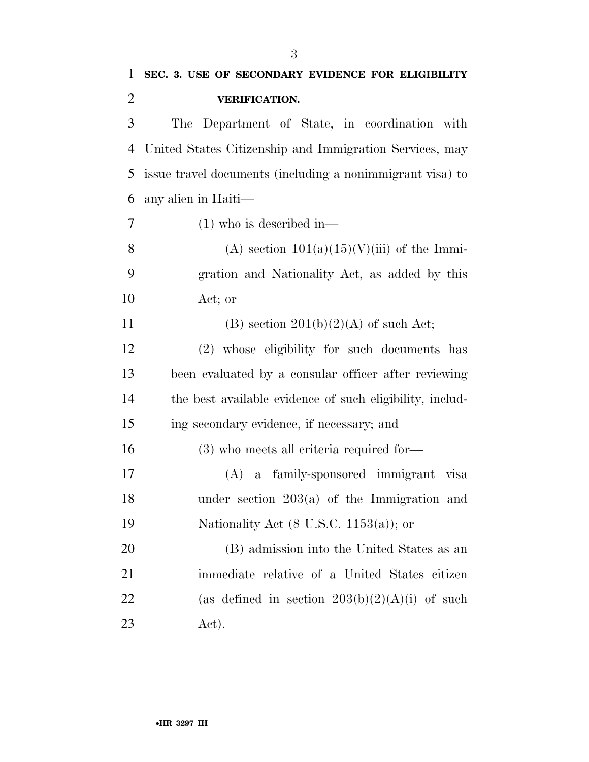| $\mathbf{1}$   | SEC. 3. USE OF SECONDARY EVIDENCE FOR ELIGIBILITY         |
|----------------|-----------------------------------------------------------|
| $\overline{2}$ | <b>VERIFICATION.</b>                                      |
| 3              | Department of State, in coordination with<br>The          |
| 4              | United States Citizenship and Immigration Services, may   |
| 5              | issue travel documents (including a nonimmigrant visa) to |
| 6              | any alien in Haiti-                                       |
| $\overline{7}$ | $(1)$ who is described in—                                |
| 8              | (A) section $101(a)(15)(V(iii))$ of the Immi-             |
| 9              | gration and Nationality Act, as added by this             |
| 10             | Act; or                                                   |
| 11             | (B) section $201(b)(2)(A)$ of such Act;                   |
| 12             | (2) whose eligibility for such documents has              |
| 13             | been evaluated by a consular officer after reviewing      |
| 14             | the best available evidence of such eligibility, includ-  |
| 15             | ing secondary evidence, if necessary; and                 |
| 16             | $(3)$ who meets all criteria required for-                |
| 17             | a family-sponsored immigrant visa<br>(A)                  |
| 18             | under section $203(a)$ of the Immigration and             |
| 19             | Nationality Act $(8 \text{ U.S.C. } 1153(a))$ ; or        |
| 20             | (B) admission into the United States as an                |
| 21             | immediate relative of a United States citizen             |
| 22             | (as defined in section $203(b)(2)(A)(i)$ of such          |
| 23             | Act).                                                     |